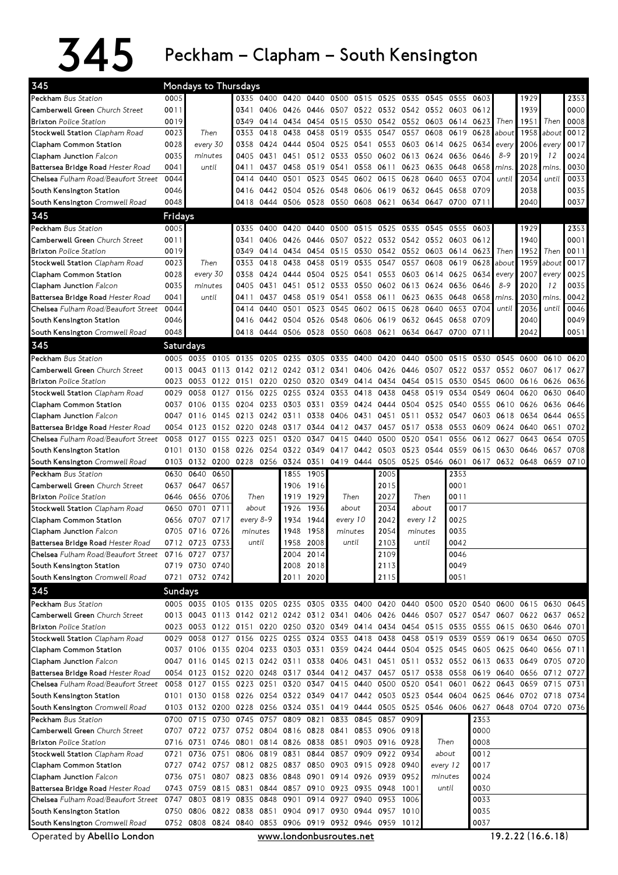## $345$  Peckham – Clapham – South Kensington

| 345                                                          |                | Mondays to Thursdays                                                       |          |                          |           |           |           |                                                        |                          |                |                                    |           |                     |                |                                                                                           |                |             |      |
|--------------------------------------------------------------|----------------|----------------------------------------------------------------------------|----------|--------------------------|-----------|-----------|-----------|--------------------------------------------------------|--------------------------|----------------|------------------------------------|-----------|---------------------|----------------|-------------------------------------------------------------------------------------------|----------------|-------------|------|
| Peckham Bus Station                                          | 0005           |                                                                            |          |                          |           |           |           | 0335 0400 0420 0440 0500 0515 0525 0535 0545 0555 0603 |                          |                |                                    |           |                     |                |                                                                                           | 1929           |             | 2353 |
| Camberwell Green Church Street                               | 0011           |                                                                            |          | 0341                     |           | 0406 0426 |           | 0446 0507 0522 0532 0542 0552 0603 0612                |                          |                |                                    |           |                     |                |                                                                                           | 1939           |             | 0000 |
| <b>Brixton Police Station</b>                                | 0019           |                                                                            |          | 0349                     | 0414      |           |           | 0434 0454 0515 0530 0542 0552 0603 0614                |                          |                |                                    |           |                     | 0623           | Then                                                                                      | 1951           | Then        | 0008 |
| Stockwell Station Clapham Road                               | 0023           |                                                                            | Then     | 0353                     | 0418      | 0438      |           | 0458 0519 0535 0547 0557 0608                          |                          |                |                                    |           | 0619                | 0628           | about                                                                                     | 1958           | about       | 0012 |
| Clapham Common Station                                       | 0028           |                                                                            | every 30 | 0358                     | 0424      | 0444      |           | 0504 0525 0541 0553 0603 0614                          |                          |                |                                    |           | 0625 0634           |                | every                                                                                     | 2006           | every       | 0017 |
| Clapham Junction Falcon                                      | 0035           |                                                                            | minutes  | 0405                     | 0431      |           |           | 0451 0512 0533 0550 0602 0613 0624                     |                          |                |                                    |           | 0636 0646           |                | $8 - 9$                                                                                   | 2019           | 12          | 0024 |
| Battersea Bridge Road Hester Road                            | 0041           |                                                                            | until    | 0411                     | 0437      |           |           | 0458 0519 0541 0558 0611 0623 0635                     |                          |                |                                    |           | 0648 0658           |                | mins.                                                                                     | 2028           | <i>mins</i> | 0030 |
| Chelsea Fulham Road/Beaufort Street                          | 0044           |                                                                            |          | 0414                     | 0440      | 0501      | 0523      | 0545 0602                                              |                          |                | 0615 0628 0640                     |           | 0653                | 0704           | until                                                                                     | 2034           | until       | 0033 |
| South Kensington Station                                     | 0046           |                                                                            |          | 0416                     |           |           |           | 0442 0504 0526 0548 0606                               |                          |                | 0619 0632 0645                     |           | 0658                | 0709           |                                                                                           | 2038           |             | 0035 |
| South Kensington Cromwell Road                               | 0048           |                                                                            |          | 0418                     |           |           |           | 0444 0506 0528 0550 0608 0621 0634 0647 0700 0711      |                          |                |                                    |           |                     |                |                                                                                           | 2040           |             | 0037 |
| 345                                                          | Fridays        |                                                                            |          |                          |           |           |           |                                                        |                          |                |                                    |           |                     |                |                                                                                           |                |             |      |
| Peckham Bus Station                                          | 0005           |                                                                            |          | 0335                     | 0400      | 0420      | 0440      |                                                        | 0500 0515 0525 0535 0545 |                |                                    |           | 0555                | 0603           |                                                                                           | 1929           |             | 2353 |
| Camberwell Green Church Street                               | 0011           |                                                                            |          | 0341                     |           | 0406 0426 |           | 0446 0507 0522 0532 0542 0552 0603                     |                          |                |                                    |           |                     | 0612           |                                                                                           | 1940           |             | 0001 |
| <b>Brixton</b> Police Station                                | 0019           |                                                                            |          | 0349                     | 0414      |           |           | 0434 0454 0515 0530 0542 0552 0603 0614                |                          |                |                                    |           |                     | 0623           | Then                                                                                      | 1952           | Then        | 0011 |
| Stockwell Station Clapham Road                               | 0023           |                                                                            | Then     | 0353                     | 0418      | 0438      | 0458      | 0519 0535                                              |                          |                | 0547 0557                          | 0608      | 0619                | 0628           | about                                                                                     | 1959           | about       | 0017 |
| Clapham Common Station                                       | 0028           |                                                                            | every 30 | 0358                     |           | 0424 0444 |           | 0504 0525 0541 0553 0603 0614                          |                          |                |                                    |           | 0625                | 0634           | every                                                                                     | 2007           | every       | 0025 |
| Clapham Junction Falcon                                      | 0035           |                                                                            | minutes  | 0405                     | 0431      | 0451      |           | 0512 0533 0550 0602 0613 0624                          |                          |                |                                    |           | 0636 0646           |                | $8 - 9$                                                                                   | 2020           | 12          | 0035 |
| Battersea Bridge Road Hester Road                            | 0041           |                                                                            | until    | 0411                     | 0437      |           |           | 0458 0519 0541                                         |                          | 0558 0611      |                                    | 0623 0635 | 0648                | 0658           | mins.                                                                                     | 2030           | mins        | 0042 |
| Chelsea Fulham Road/Beaufort Street                          | 0044           |                                                                            |          | 0414                     | 0440      | 0501      | 0523      |                                                        | 0545 0602 0615           |                | 0628 0640                          |           | 0653                | 0704           | until                                                                                     | 2036           | until       | 0046 |
| South Kensington Station                                     | 0046           |                                                                            |          | 0416                     | 0442 0504 |           |           | 0526 0548 0606                                         |                          |                | 0619 0632 0645                     |           | 0658                | 0709           |                                                                                           | 2040           |             | 0049 |
| South Kensington Cromwell Road                               | 0048           |                                                                            |          |                          |           |           |           | 0418 0444 0506 0528 0550 0608 0621 0634 0647 0700 0711 |                          |                |                                    |           |                     |                |                                                                                           | 2042           |             | 0051 |
| 345                                                          |                | Saturdays                                                                  |          |                          |           |           |           |                                                        |                          |                |                                    |           |                     |                |                                                                                           |                |             |      |
| Peckham Bus Station                                          |                |                                                                            |          |                          |           |           |           |                                                        |                          |                |                                    |           |                     |                | 0005 0035 0105 0135 0205 0235 0305 0335 0400 0420 0440 0500 0515 0530 0545 0600 0610      |                |             | 0620 |
| Camberwell Green Church Street                               |                | 0013 0043 0113 0142 0212 0242 0312 0341 0406                               |          |                          |           |           |           |                                                        |                          |                |                                    |           |                     |                | 0426 0446 0507 0522 0537 0552 0607 0617                                                   |                |             | 0627 |
| <b>Brixton</b> Police Station                                |                | 0023 0053 0122 0151 0220 0250 0320 0349 0414 0434 0454 0515                |          |                          |           |           |           |                                                        |                          |                |                                    |           |                     | 0530 0545 0600 |                                                                                           | 0616 0626      |             | 0636 |
| Stockwell Station Clapham Road                               |                | 0029 0058 0127 0156 0225 0255 0324 0353 0418                               |          |                          |           |           |           |                                                        |                          | 0438           |                                    | 0458 0519 |                     | 0534 0549 0604 |                                                                                           | 0620           | 0630        | 0640 |
| Clapham Common Station                                       |                | 0037 0106 0135 0204 0233 0303 0331 0359 0424 0444 0504 0525 0540 0555 0610 |          |                          |           |           |           |                                                        |                          |                |                                    |           |                     |                |                                                                                           | 0626 0636      |             | 0646 |
| Clapham Junction Falcon                                      |                | 0047 0116 0145 0213 0242 0311 0338 0406 0431                               |          |                          |           |           |           |                                                        |                          |                | 0451 0511                          |           | 0532 0547           |                | 0603 0618 0634 0644                                                                       |                |             | 0655 |
| Battersea Bridge Road Hester Road                            |                | 0054 0123 0152 0220 0248 0317 0344 0412 0437                               |          |                          |           |           |           |                                                        |                          |                |                                    |           | 0457 0517 0538 0553 |                | 0609 0624 0640 0651                                                                       |                |             | 0702 |
| Chelsea Fulham Road/Beaufort Street                          | 0058           | 0127                                                                       | 0155     | 0223 0251                |           | 0320      | 0347      | 0415 0440                                              |                          | 0500           | 0520                               | 0541      | 0556                |                | 0612 0627                                                                                 | 0643           | 0654        | 0705 |
| South Kensington Station                                     |                | 0101 0130                                                                  |          | 0158 0226 0254 0322 0349 |           |           |           | 0417 0442                                              |                          |                | 0503 0523 0544                     |           |                     | 0559 0615 0630 |                                                                                           | 0646           | 0657        | 0708 |
|                                                              |                |                                                                            |          |                          |           |           |           |                                                        |                          |                | 0505 0525 0546 0601 0617 0632 0648 |           |                     |                |                                                                                           |                | 0659 0710   |      |
| South Kensington Cromwell Road                               |                | 0103 0132 0200 0228 0256 0324 0351 0419 0444                               |          |                          |           |           |           |                                                        |                          |                |                                    |           |                     |                |                                                                                           |                |             |      |
| Peckham Bus Station                                          |                | 0630 0640                                                                  | 0650     |                          |           | 1855      | 1905      |                                                        |                          | 2005           |                                    |           | 2353                |                |                                                                                           |                |             |      |
| Camberwell Green Church Street                               |                | 0637 0647 0657                                                             |          |                          |           | 1906      | 1916      |                                                        |                          | 2015           |                                    |           | 0001                |                |                                                                                           |                |             |      |
| <b>Brixton</b> Police Station                                |                | 0646 0656 0706                                                             |          |                          | Then      |           | 1919 1929 | Then                                                   |                          | 2027           |                                    | Then      | 0011                |                |                                                                                           |                |             |      |
| Stockwell Station Clapham Road                               |                | 0650 0701 0711                                                             |          | about                    |           | 1926      | 1936      | about                                                  |                          | 2034           |                                    | about     | 0017                |                |                                                                                           |                |             |      |
| Clapham Common Station                                       |                | 0656 0707 0717                                                             |          | every 8-9                |           | 1934      | 1944      | every 10                                               |                          | 2042           |                                    | every 12  | 0025                |                |                                                                                           |                |             |      |
| Clapham Junction Falcon                                      |                | 0705 0716 0726                                                             |          | minutes                  |           | 1948      | 1958      | minutes                                                |                          | 2054           |                                    | minutes   | 0035                |                |                                                                                           |                |             |      |
| Battersea Bridge Road Hester Road                            |                | 0712 0723 0733                                                             |          | until                    |           | 1958      | 2008      |                                                        | until                    | 2103           | until                              |           | 0042                |                |                                                                                           |                |             |      |
| Chelsea Fulham Road/Beaufort Street                          |                | 0716 0727 0737                                                             |          |                          |           |           | 2004 2014 |                                                        |                          | 2109           |                                    |           | 0046                |                |                                                                                           |                |             |      |
| South Kensington Station                                     |                | 0719 0730 0740                                                             |          |                          |           |           | 2008 2018 |                                                        |                          | 2113           |                                    |           | 0049                |                |                                                                                           |                |             |      |
| South Kensington Cromwell Road                               |                | 0721 0732 0742                                                             |          |                          |           |           | 2011 2020 |                                                        |                          | 2115           |                                    |           | 0051                |                |                                                                                           |                |             |      |
| 345                                                          | <b>Sundays</b> |                                                                            |          |                          |           |           |           |                                                        |                          |                |                                    |           |                     |                |                                                                                           |                |             |      |
| Peckham Bus Station                                          |                |                                                                            |          |                          |           |           |           |                                                        |                          |                |                                    |           |                     |                | 0005 0035 0105 0135 0205 0235 0305 0335 0400 0420 0440 0500 0520 0540 0600 0615 0630 0645 |                |             |      |
| Camberwell Green Church Street                               |                | 0013 0043 0113 0142 0212 0242 0312 0341 0406                               |          |                          |           |           |           |                                                        |                          |                |                                    |           |                     |                | 0426 0446 0507 0527 0547 0607 0622 0637                                                   |                |             | 0652 |
| <b>Brixton</b> Police Station                                |                |                                                                            |          |                          |           |           |           |                                                        |                          |                |                                    |           |                     |                | 0023 0053 0122 0151 0220 0250 0320 0349 0414 0434 0454 0515 0535 0555 0615 0630 0646 0701 |                |             |      |
| Stockwell Station Clapham Road                               |                | 0029 0058 0127 0156 0225 0255 0324 0353 0418                               |          |                          |           |           |           |                                                        |                          | 0438           |                                    |           |                     |                | 0458 0519 0539 0559 0619 0634                                                             |                | 0650        | 0705 |
| Clapham Common Station                                       |                |                                                                            |          |                          |           |           |           |                                                        |                          |                |                                    |           |                     |                | 0037 0106 0135 0204 0233 0303 0331 0359 0424 0444 0504 0525 0545 0605 0625 0640 0656      |                |             | 0711 |
| Clapham Junction Falcon                                      |                |                                                                            |          |                          |           |           |           |                                                        |                          |                |                                    |           |                     |                | 0047 0116 0145 0213 0242 0311 0338 0406 0431 0451 0511 0532 0552 0613 0633 0649 0705      |                |             | 0720 |
| Battersea Bridge Road Hester Road                            |                |                                                                            |          |                          |           |           |           |                                                        |                          |                |                                    |           |                     |                | 0054 0123 0152 0220 0248 0317 0344 0412 0437 0457 0517 0538 0558 0619 0640 0656 0712 0727 |                |             |      |
| Chelsea Fulham Road/Beaufort Street                          |                | 0058 0127 0155 0223 0251 0320 0347 0415 0440                               |          |                          |           |           |           |                                                        |                          |                | 0500 0520 0541                     |           | 0601                |                | 0622 0643                                                                                 | 0659 0715 0731 |             |      |
| South Kensington Station                                     |                | 0101 0130 0158 0226 0254 0322 0349 0417 0442 0503 0523 0544 0604           |          |                          |           |           |           |                                                        |                          |                |                                    |           |                     |                | 0625 0646 0702 0718 0734                                                                  |                |             |      |
| South Kensington Cromwell Road                               |                |                                                                            |          |                          |           |           |           |                                                        |                          |                |                                    |           |                     |                | 0103 0132 0200 0228 0256 0324 0351 0419 0444 0505 0525 0546 0606 0627 0648 0704 0720 0736 |                |             |      |
| Peckham Bus Station                                          |                | 0700 0715                                                                  |          | 0730 0745 0757           |           | 0809 0821 |           |                                                        | 0833 0845 0857 0909      |                |                                    |           |                     | 2353           |                                                                                           |                |             |      |
| Camberwell Green Church Street                               |                | 0707 0722 0737 0752 0804 0816 0828 0841 0853 0906 0918                     |          |                          |           |           |           |                                                        |                          |                |                                    |           |                     | 0000           |                                                                                           |                |             |      |
| <b>Brixton</b> Police Station                                |                | 0716 0731                                                                  | 0746     | 0801                     |           | 0814 0826 |           | 0838 0851                                              |                          | 0903 0916 0928 |                                    |           | Then                | 0008           |                                                                                           |                |             |      |
| Stockwell Station Clapham Road                               |                | 0721 0736                                                                  | 0751     | 0806                     | 0819 0831 |           | 0844      |                                                        | 0857 0909                | 0922           | 0934                               |           | about               | 0012           |                                                                                           |                |             |      |
| Clapham Common Station                                       |                | 0727 0742 0757 0812 0825 0837 0850 0903 0915 0928 0940                     |          |                          |           |           |           |                                                        |                          |                |                                    |           | every 12            | 0017           |                                                                                           |                |             |      |
| <b>Clapham Junction Falcon</b>                               |                | 0736 0751 0807 0823 0836 0848                                              |          |                          |           |           |           | 0901 0914 0926                                         |                          | 0939 0952      |                                    |           | minutes             | 0024           |                                                                                           |                |             |      |
| Battersea Bridge Road Hester Road                            |                | 0743 0759 0815 0831                                                        |          |                          |           |           |           | 0844 0857 0910 0923 0935 0948                          |                          |                | 1001                               |           | until               | 0030           |                                                                                           |                |             |      |
| <b>Chelsea</b> Fulham Road/Beaufort Street                   |                | 0747 0803 0819 0835 0848 0901 0914 0927 0940 0953 1006                     |          |                          |           |           |           |                                                        |                          |                |                                    |           |                     | 0033           |                                                                                           |                |             |      |
| South Kensington Station                                     |                | 0750 0806 0822 0838 0851 0904 0917 0930 0944 0957 1010                     |          |                          |           |           |           |                                                        |                          |                |                                    |           |                     | 0035           |                                                                                           |                |             |      |
| South Kensington Cromwell Road<br>Operated by Abellio London |                | 0752 0808 0824 0840 0853 0906 0919 0932 0946 0959 1012                     |          |                          |           |           |           | www.londonbusroutes.net                                |                          |                |                                    |           |                     | 0037           | 19.2.22 (16.6.18)                                                                         |                |             |      |